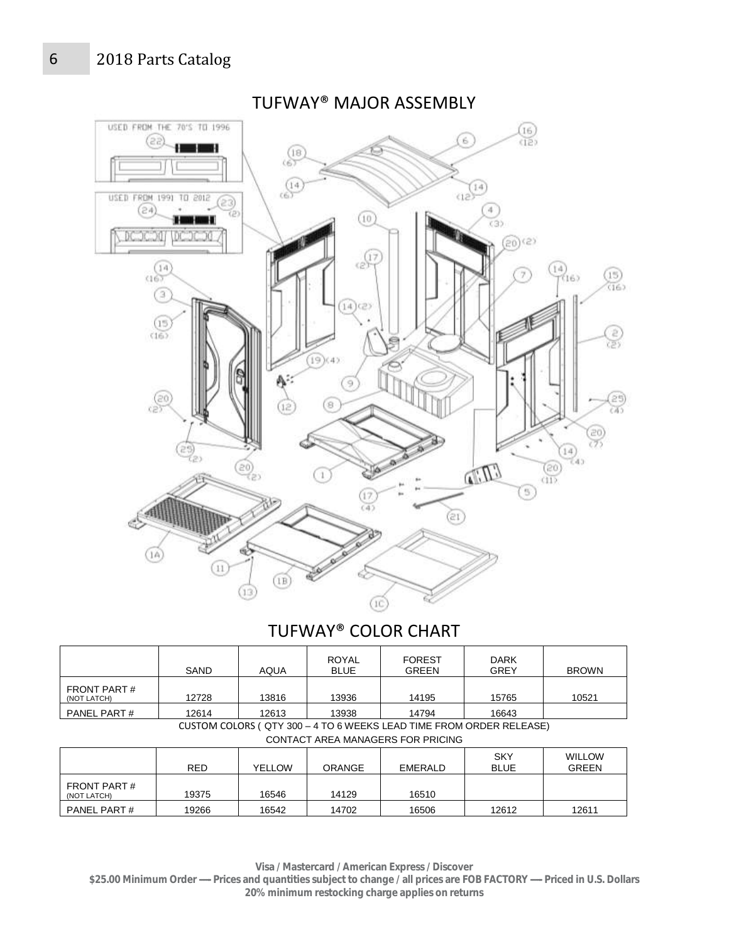## 6 2018 Parts Catalog



#### TUFWAY® COLOR CHART **BOVAL** FOREST

|                                   | SAND       | <b>AQUA</b> | ROYAL<br><b>BLUE</b> | <b>FOREST</b><br><b>GREEN</b>                                       | <b>DARK</b><br><b>GREY</b> | <b>BROWN</b>                  |
|-----------------------------------|------------|-------------|----------------------|---------------------------------------------------------------------|----------------------------|-------------------------------|
| <b>FRONT PART#</b><br>(NOT LATCH) | 12728      | 13816       | 13936                | 14195                                                               | 15765                      | 10521                         |
| PANEL PART#                       | 12614      | 12613       | 13938                | 14794                                                               | 16643                      |                               |
|                                   |            |             |                      | CUSTOM COLORS (QTY 300 - 4 TO 6 WEEKS LEAD TIME FROM ORDER RELEASE) |                            |                               |
|                                   |            |             |                      | <b>CONTACT AREA MANAGERS FOR PRICING</b>                            |                            |                               |
|                                   | <b>RED</b> | YELLOW      | ORANGE               | EMERALD                                                             | <b>SKY</b><br><b>BLUE</b>  | <b>WILLOW</b><br><b>GREEN</b> |
| FRONT PART#<br>(NOT LATCH)        | 19375      | 16546       | 14129                | 16510                                                               |                            |                               |
| PANEL PART#                       | 19266      | 16542       | 14702                | 16506                                                               | 12612                      | 12611                         |

**Visa / Mastercard / American Express / Discover** 

**\$25.00 Minimum Order ----- Prices and quantities subject to change / all prices are FOB FACTORY ----- Priced in U.S. Dollars 20% minimum restocking charge applies on returns**

### TUFWAY® MAJOR ASSEMBLY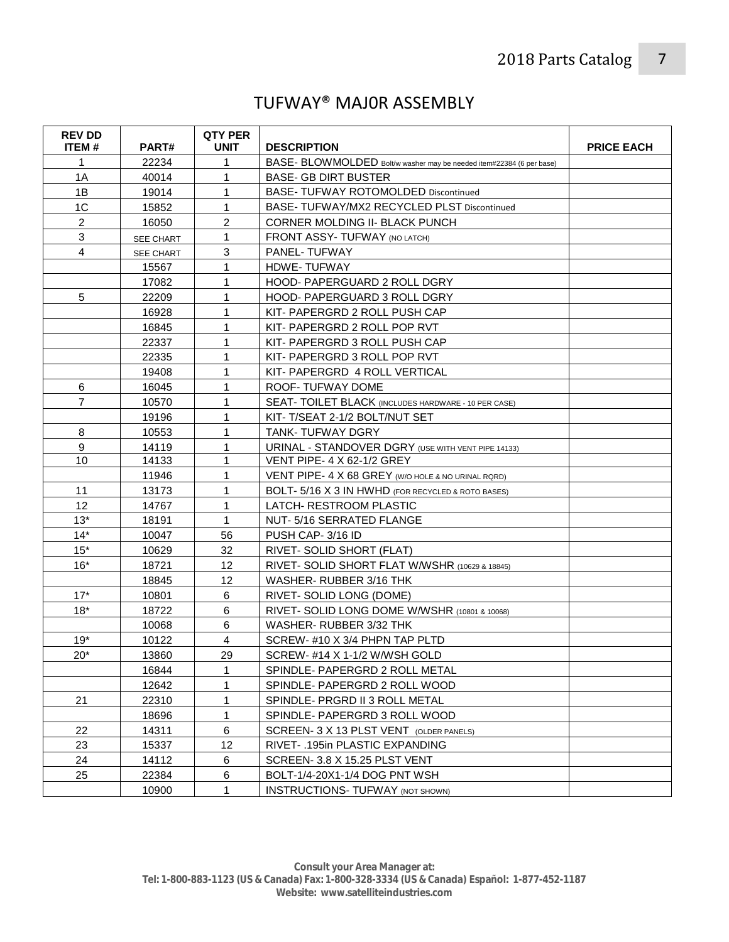## TUFWAY® MAJ0R ASSEMBLY

| <b>REV DD</b><br>ITEM# | PART#     | <b>QTY PER</b><br><b>UNIT</b> | <b>DESCRIPTION</b>                                                   | <b>PRICE EACH</b> |
|------------------------|-----------|-------------------------------|----------------------------------------------------------------------|-------------------|
| 1                      | 22234     | 1                             | BASE- BLOWMOLDED Bolt/w washer may be needed item#22384 (6 per base) |                   |
| 1A                     | 40014     | 1                             | <b>BASE- GB DIRT BUSTER</b>                                          |                   |
| 1B                     | 19014     | 1                             | <b>BASE- TUFWAY ROTOMOLDED Discontinued</b>                          |                   |
| 1 <sup>C</sup>         | 15852     | 1                             | BASE- TUFWAY/MX2 RECYCLED PLST Discontinued                          |                   |
| $\overline{2}$         | 16050     | $\overline{c}$                | CORNER MOLDING II- BLACK PUNCH                                       |                   |
| 3                      | SEE CHART | $\mathbf{1}$                  | FRONT ASSY- TUFWAY (NO LATCH)                                        |                   |
| 4                      | SEE CHART | 3                             | <b>PANEL-TUFWAY</b>                                                  |                   |
|                        | 15567     | 1                             | HDWE-TUFWAY                                                          |                   |
|                        | 17082     | 1                             | <b>HOOD- PAPERGUARD 2 ROLL DGRY</b>                                  |                   |
| 5                      | 22209     | 1                             | <b>HOOD- PAPERGUARD 3 ROLL DGRY</b>                                  |                   |
|                        | 16928     | 1                             | KIT- PAPERGRD 2 ROLL PUSH CAP                                        |                   |
|                        | 16845     | 1                             | KIT- PAPERGRD 2 ROLL POP RVT                                         |                   |
|                        | 22337     | 1                             | KIT- PAPERGRD 3 ROLL PUSH CAP                                        |                   |
|                        | 22335     | 1                             | KIT- PAPERGRD 3 ROLL POP RVT                                         |                   |
|                        | 19408     | $\mathbf{1}$                  | KIT- PAPERGRD 4 ROLL VERTICAL                                        |                   |
| 6                      | 16045     | 1                             | ROOF-TUFWAY DOME                                                     |                   |
| $\overline{7}$         | 10570     | $\mathbf{1}$                  | SEAT- TOILET BLACK (INCLUDES HARDWARE - 10 PER CASE)                 |                   |
|                        | 19196     | 1                             | KIT-T/SEAT 2-1/2 BOLT/NUT SET                                        |                   |
| 8                      | 10553     | 1                             | TANK-TUFWAY DGRY                                                     |                   |
| 9                      | 14119     | 1                             | URINAL - STANDOVER DGRY (USE WITH VENT PIPE 14133)                   |                   |
| 10                     | 14133     | 1                             | <b>VENT PIPE- 4 X 62-1/2 GREY</b>                                    |                   |
|                        | 11946     | 1                             | VENT PIPE- 4 X 68 GREY (W/O HOLE & NO URINAL RORD)                   |                   |
| 11                     | 13173     | 1                             | BOLT- 5/16 X 3 IN HWHD (FOR RECYCLED & ROTO BASES)                   |                   |
| 12                     | 14767     | $\mathbf{1}$                  | LATCH- RESTROOM PLASTIC                                              |                   |
| $13*$                  | 18191     | $\mathbf{1}$                  | NUT-5/16 SERRATED FLANGE                                             |                   |
| $14*$                  | 10047     | 56                            | PUSH CAP-3/16 ID                                                     |                   |
| $15*$                  | 10629     | 32                            | RIVET-SOLID SHORT (FLAT)                                             |                   |
| $16*$                  | 18721     | 12                            | RIVET- SOLID SHORT FLAT W/WSHR (10629 & 18845)                       |                   |
|                        | 18845     | 12                            | WASHER-RUBBER 3/16 THK                                               |                   |
| $17*$                  | 10801     | 6                             | RIVET-SOLID LONG (DOME)                                              |                   |
| $18*$                  | 18722     | 6                             | RIVET- SOLID LONG DOME W/WSHR (10801 & 10068)                        |                   |
|                        | 10068     | 6                             | WASHER-RUBBER 3/32 THK                                               |                   |
| $19*$                  | 10122     | 4                             | SCREW-#10 X 3/4 PHPN TAP PLTD                                        |                   |
| $20*$                  | 13860     | 29                            | SCREW- #14 X 1-1/2 W/WSH GOLD                                        |                   |
|                        | 16844     | 1                             | SPINDLE- PAPERGRD 2 ROLL METAL                                       |                   |
|                        | 12642     | 1                             | SPINDLE- PAPERGRD 2 ROLL WOOD                                        |                   |
| 21                     | 22310     | 1                             | SPINDLE- PRGRD II 3 ROLL METAL                                       |                   |
|                        | 18696     | 1                             | SPINDLE- PAPERGRD 3 ROLL WOOD                                        |                   |
| 22                     | 14311     | 6                             | SCREEN- 3 X 13 PLST VENT (OLDER PANELS)                              |                   |
| 23                     | 15337     | 12                            | RIVET- .195in PLASTIC EXPANDING                                      |                   |
| 24                     | 14112     | 6                             | SCREEN- 3.8 X 15.25 PLST VENT                                        |                   |
| 25                     | 22384     | 6                             | BOLT-1/4-20X1-1/4 DOG PNT WSH                                        |                   |
|                        | 10900     | $\mathbf{1}$                  | <b>INSTRUCTIONS- TUFWAY (NOT SHOWN)</b>                              |                   |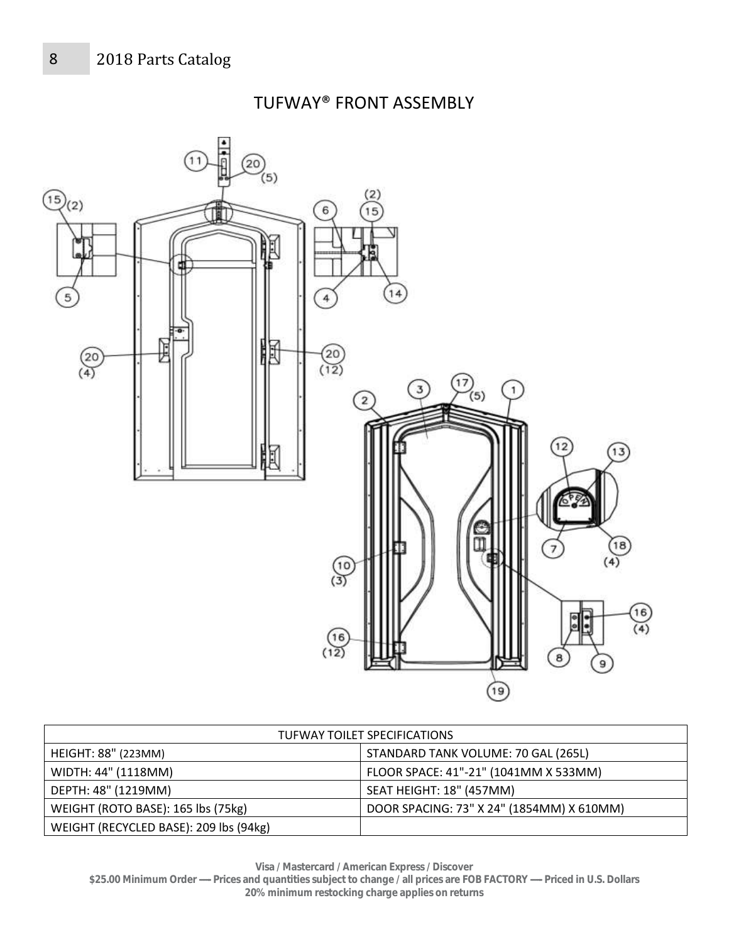TUFWAY® FRONT ASSEMBLY



| TUFWAY TOILET SPECIFICATIONS           |                                           |  |  |  |
|----------------------------------------|-------------------------------------------|--|--|--|
| <b>HEIGHT: 88" (223MM)</b>             | STANDARD TANK VOLUME: 70 GAL (265L)       |  |  |  |
| WIDTH: 44" (1118MM)                    | FLOOR SPACE: 41"-21" (1041MM X 533MM)     |  |  |  |
| DEPTH: 48" (1219MM)                    | SEAT HEIGHT: 18" (457MM)                  |  |  |  |
| WEIGHT (ROTO BASE): 165 lbs (75kg)     | DOOR SPACING: 73" X 24" (1854MM) X 610MM) |  |  |  |
| WEIGHT (RECYCLED BASE): 209 lbs (94kg) |                                           |  |  |  |

**Visa / Mastercard / American Express / Discover** 

**\$25.00 Minimum Order ----- Prices and quantities subject to change / all prices are FOB FACTORY ----- Priced in U.S. Dollars 20% minimum restocking charge applies on returns**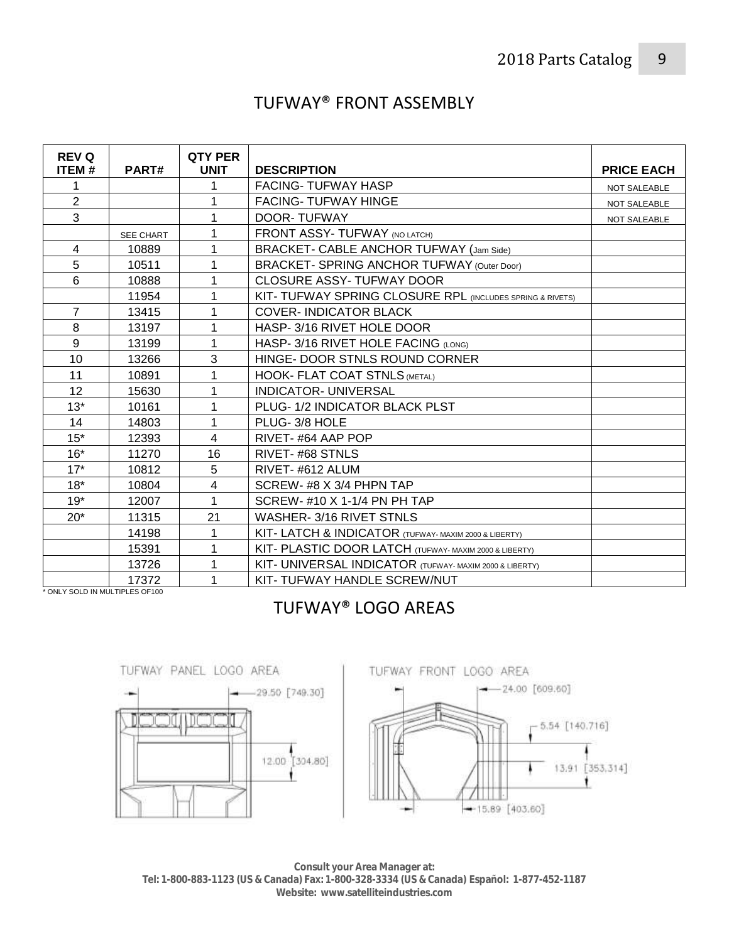# TUFWAY® FRONT ASSEMBLY

| <b>REV Q</b><br><b>ITEM#</b>   | PART#     | <b>QTY PER</b><br><b>UNIT</b> | <b>DESCRIPTION</b>                                        | <b>PRICE EACH</b>   |
|--------------------------------|-----------|-------------------------------|-----------------------------------------------------------|---------------------|
|                                |           |                               | <b>FACING- TUFWAY HASP</b>                                | <b>NOT SALEABLE</b> |
| $\overline{2}$                 |           |                               | <b>FACING- TUFWAY HINGE</b>                               | NOT SALEABLE        |
| 3                              |           |                               | DOOR-TUFWAY                                               | NOT SALEABLE        |
|                                | SEE CHART | 1                             | <b>FRONT ASSY-TUFWAY (NO LATCH)</b>                       |                     |
| 4                              | 10889     |                               | BRACKET- CABLE ANCHOR TUFWAY (Jam Side)                   |                     |
| 5                              | 10511     |                               | BRACKET- SPRING ANCHOR TUFWAY (Outer Door)                |                     |
| 6                              | 10888     | 1                             | <b>CLOSURE ASSY-TUFWAY DOOR</b>                           |                     |
|                                | 11954     |                               | KIT- TUFWAY SPRING CLOSURE RPL (INCLUDES SPRING & RIVETS) |                     |
| $\overline{7}$                 | 13415     |                               | <b>COVER-INDICATOR BLACK</b>                              |                     |
| 8                              | 13197     | 1                             | HASP-3/16 RIVET HOLE DOOR                                 |                     |
| 9                              | 13199     | 1                             | HASP- 3/16 RIVET HOLE FACING (LONG)                       |                     |
| 10                             | 13266     | 3                             | HINGE- DOOR STNLS ROUND CORNER                            |                     |
| 11                             | 10891     |                               | <b>HOOK- FLAT COAT STNLS (METAL)</b>                      |                     |
| 12                             | 15630     | 1                             | <b>INDICATOR- UNIVERSAL</b>                               |                     |
| $13*$                          | 10161     | 1                             | PLUG- 1/2 INDICATOR BLACK PLST                            |                     |
| 14                             | 14803     | 1                             | PLUG-3/8 HOLE                                             |                     |
| $15*$                          | 12393     | 4                             | RIVET-#64 AAP POP                                         |                     |
| $16*$                          | 11270     | 16                            | RIVET-#68 STNLS                                           |                     |
| $17*$                          | 10812     | 5                             | RIVET-#612 ALUM                                           |                     |
| $18*$                          | 10804     | 4                             | SCREW-#8 X 3/4 PHPN TAP                                   |                     |
| $19*$                          | 12007     |                               | SCREW- #10 X 1-1/4 PN PH TAP                              |                     |
| $20*$                          | 11315     | 21                            | WASHER-3/16 RIVET STNLS                                   |                     |
|                                | 14198     | 1                             | KIT - LATCH & INDICATOR (TUFWAY- MAXIM 2000 & LIBERTY)    |                     |
|                                | 15391     | 1                             | KIT- PLASTIC DOOR LATCH (TUFWAY- MAXIM 2000 & LIBERTY)    |                     |
|                                | 13726     |                               | KIT- UNIVERSAL INDICATOR (TUFWAY- MAXIM 2000 & LIBERTY)   |                     |
| * ONLY SOLD IN MULTIPLES OF100 | 17372     |                               | KIT- TUFWAY HANDLE SCREW/NUT                              |                     |

## TUFWAY® LOGO AREAS





**Consult your Area Manager at: Tel: 1-800-883-1123 (US & Canada) Fax: 1-800-328-3334 (US & Canada) Español: 1-877-452-1187 Website: www.satelliteindustries.com**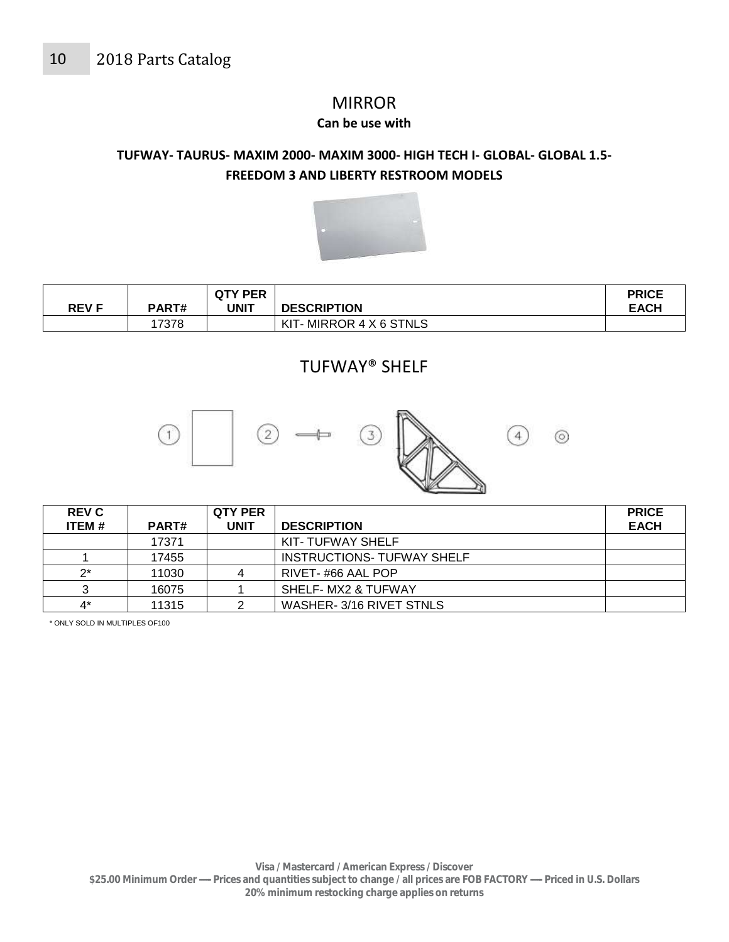# **MIRROR**

#### **Can be use with**

### **TUFWAY- TAURUS- MAXIM 2000- MAXIM 3000- HIGH TECH I- GLOBAL- GLOBAL 1.5- FREEDOM 3 AND LIBERTY RESTROOM MODELS**



| <b>REV F</b> | PART# | <b>QTY PER</b><br>UNIT | <b>DESCRIPTION</b>     | <b>PRICE</b><br><b>EACH</b> |
|--------------|-------|------------------------|------------------------|-----------------------------|
|              | 17378 |                        | KIT-MIRROR 4 X 6 STNLS |                             |

### TUFWAY® SHELF



| <b>REV C</b> |              | <b>QTY PER</b> |                                   | <b>PRICE</b> |
|--------------|--------------|----------------|-----------------------------------|--------------|
| ITEM #       | <b>PART#</b> | <b>UNIT</b>    | <b>DESCRIPTION</b>                | <b>EACH</b>  |
|              | 17371        |                | KIT-TUFWAY SHELF                  |              |
|              | 17455        |                | <b>INSTRUCTIONS- TUFWAY SHELF</b> |              |
| $2^*$        | 11030        |                | RIVET-#66 AAL POP                 |              |
| າ            | 16075        |                | SHELF- MX2 & TUFWAY               |              |
| 4*           | 11315        |                | WASHER-3/16 RIVET STNLS           |              |

\* ONLY SOLD IN MULTIPLES OF100